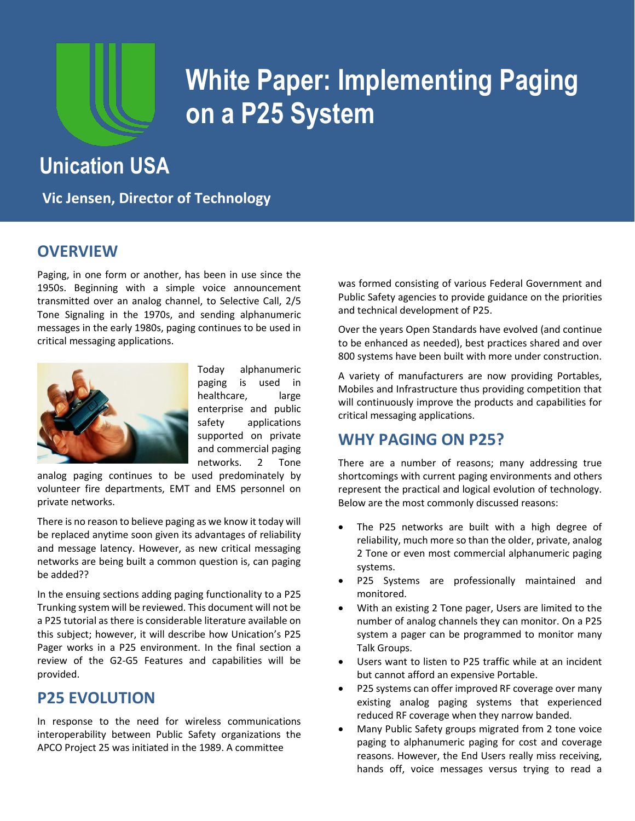

# **White Paper: Implementing Paging on a P25 System**

# **Unication USA**

**Vic Jensen, Director of Technology**

### **OVERVIEW**

Paging, in one form or another, has been in use since the 1950s. Beginning with a simple voice announcement transmitted over an analog channel, to Selective Call, 2/5 Tone Signaling in the 1970s, and sending alphanumeric messages in the early 1980s, paging continues to be used in critical messaging applications.



Today alphanumeric paging is used in healthcare, large enterprise and public safety applications supported on private and commercial paging networks. 2 Tone

analog paging continues to be used predominately by volunteer fire departments, EMT and EMS personnel on private networks.

There is no reason to believe paging as we know it today will be replaced anytime soon given its advantages of reliability and message latency. However, as new critical messaging networks are being built a common question is, can paging be added??

In the ensuing sections adding paging functionality to a P25 Trunking system will be reviewed. This document will not be a P25 tutorial as there is considerable literature available on this subject; however, it will describe how Unication's P25 Pager works in a P25 environment. In the final section a review of the G2-G5 Features and capabilities will be provided.

# **P25 EVOLUTION**

In response to the need for wireless communications interoperability between Public Safety organizations the APCO Project 25 was initiated in the 1989. A committee

was formed consisting of various Federal Government and Public Safety agencies to provide guidance on the priorities and technical development of P25.

Over the years Open Standards have evolved (and continue to be enhanced as needed), best practices shared and over 800 systems have been built with more under construction.

A variety of manufacturers are now providing Portables, Mobiles and Infrastructure thus providing competition that will continuously improve the products and capabilities for critical messaging applications.

# **WHY PAGING ON P25?**

There are a number of reasons; many addressing true shortcomings with current paging environments and others represent the practical and logical evolution of technology. Below are the most commonly discussed reasons:

- The P25 networks are built with a high degree of reliability, much more so than the older, private, analog 2 Tone or even most commercial alphanumeric paging systems.
- P25 Systems are professionally maintained and monitored.
- With an existing 2 Tone pager, Users are limited to the number of analog channels they can monitor. On a P25 system a pager can be programmed to monitor many Talk Groups.
- Users want to listen to P25 traffic while at an incident but cannot afford an expensive Portable.
- P25 systems can offer improved RF coverage over many existing analog paging systems that experienced reduced RF coverage when they narrow banded.
- Many Public Safety groups migrated from 2 tone voice paging to alphanumeric paging for cost and coverage reasons. However, the End Users really miss receiving, hands off, voice messages versus trying to read a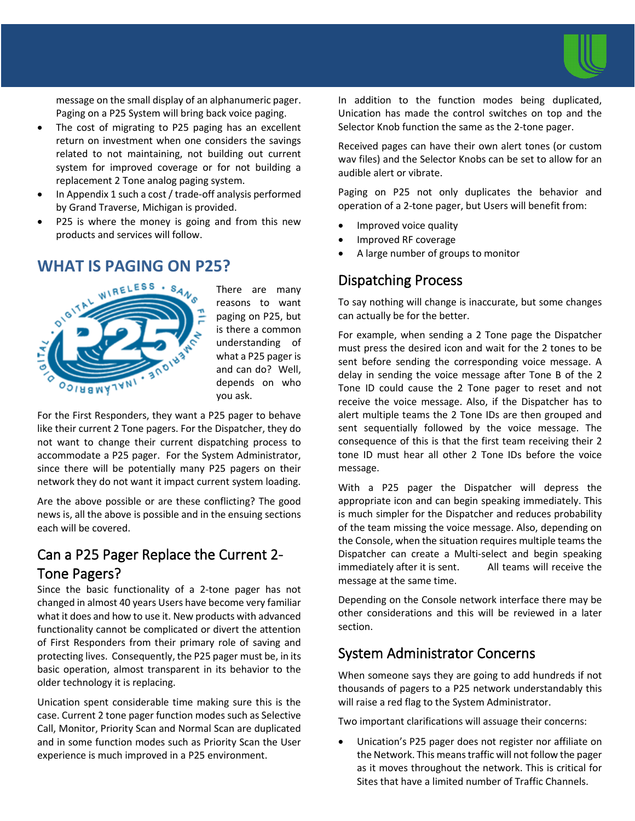

message on the small display of an alphanumeric pager. Paging on a P25 System will bring back voice paging.

- The cost of migrating to P25 paging has an excellent return on investment when one considers the savings related to not maintaining, not building out current system for improved coverage or for not building a replacement 2 Tone analog paging system.
- In Appendix 1 such a cost / trade-off analysis performed by Grand Traverse, Michigan is provided.
- P25 is where the money is going and from this new products and services will follow.

# **WHAT IS PAGING ON P25?**



There are many reasons to want paging on P25, but is there a common understanding of what a P25 pager is and can do? Well, depends on who you ask.

For the First Responders, they want a P25 pager to behave like their current 2 Tone pagers. For the Dispatcher, they do not want to change their current dispatching process to accommodate a P25 pager. For the System Administrator, since there will be potentially many P25 pagers on their network they do not want it impact current system loading.

Are the above possible or are these conflicting? The good news is, all the above is possible and in the ensuing sections each will be covered.

# Can a P25 Pager Replace the Current 2- Tone Pagers?

Since the basic functionality of a 2-tone pager has not changed in almost 40 years Users have become very familiar what it does and how to use it. New products with advanced functionality cannot be complicated or divert the attention of First Responders from their primary role of saving and protecting lives. Consequently, the P25 pager must be, in its basic operation, almost transparent in its behavior to the older technology it is replacing.

Unication spent considerable time making sure this is the case. Current 2 tone pager function modes such as Selective Call, Monitor, Priority Scan and Normal Scan are duplicated and in some function modes such as Priority Scan the User experience is much improved in a P25 environment.

In addition to the function modes being duplicated, Unication has made the control switches on top and the Selector Knob function the same as the 2-tone pager.

Received pages can have their own alert tones (or custom wav files) and the Selector Knobs can be set to allow for an audible alert or vibrate.

Paging on P25 not only duplicates the behavior and operation of a 2-tone pager, but Users will benefit from:

- Improved voice quality
- Improved RF coverage
- A large number of groups to monitor

### Dispatching Process

To say nothing will change is inaccurate, but some changes can actually be for the better.

For example, when sending a 2 Tone page the Dispatcher must press the desired icon and wait for the 2 tones to be sent before sending the corresponding voice message. A delay in sending the voice message after Tone B of the 2 Tone ID could cause the 2 Tone pager to reset and not receive the voice message. Also, if the Dispatcher has to alert multiple teams the 2 Tone IDs are then grouped and sent sequentially followed by the voice message. The consequence of this is that the first team receiving their 2 tone ID must hear all other 2 Tone IDs before the voice message.

With a P25 pager the Dispatcher will depress the appropriate icon and can begin speaking immediately. This is much simpler for the Dispatcher and reduces probability of the team missing the voice message. Also, depending on the Console, when the situation requires multiple teams the Dispatcher can create a Multi-select and begin speaking immediately after it is sent. All teams will receive the message at the same time.

Depending on the Console network interface there may be other considerations and this will be reviewed in a later section.

# System Administrator Concerns

When someone says they are going to add hundreds if not thousands of pagers to a P25 network understandably this will raise a red flag to the System Administrator.

Two important clarifications will assuage their concerns:

• Unication's P25 pager does not register nor affiliate on the Network. This means traffic will not follow the pager as it moves throughout the network. This is critical for Sites that have a limited number of Traffic Channels.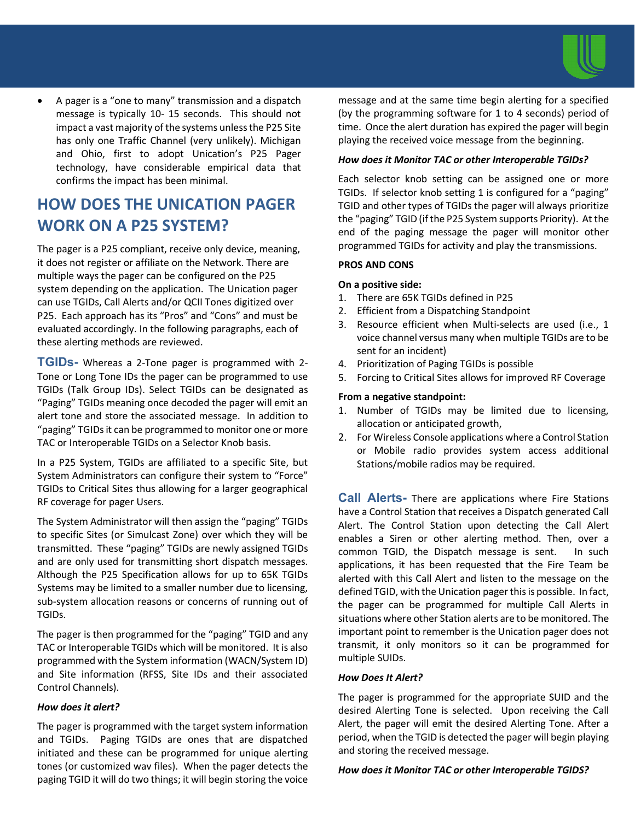

• A pager is a "one to many" transmission and a dispatch message is typically 10- 15 seconds. This should not impact a vast majority of the systems unless the P25 Site has only one Traffic Channel (very unlikely). Michigan and Ohio, first to adopt Unication's P25 Pager technology, have considerable empirical data that confirms the impact has been minimal.

# **HOW DOES THE UNICATION PAGER WORK ON A P25 SYSTEM?**

The pager is a P25 compliant, receive only device, meaning, it does not register or affiliate on the Network. There are multiple ways the pager can be configured on the P25 system depending on the application. The Unication pager can use TGIDs, Call Alerts and/or QCII Tones digitized over P25. Each approach has its "Pros" and "Cons" and must be evaluated accordingly. In the following paragraphs, each of these alerting methods are reviewed.

**TGIDs-** Whereas a 2-Tone pager is programmed with 2- Tone or Long Tone IDs the pager can be programmed to use TGIDs (Talk Group IDs). Select TGIDs can be designated as "Paging" TGIDs meaning once decoded the pager will emit an alert tone and store the associated message. In addition to "paging" TGIDs it can be programmed to monitor one or more TAC or Interoperable TGIDs on a Selector Knob basis.

In a P25 System, TGIDs are affiliated to a specific Site, but System Administrators can configure their system to "Force" TGIDs to Critical Sites thus allowing for a larger geographical RF coverage for pager Users.

The System Administrator will then assign the "paging" TGIDs to specific Sites (or Simulcast Zone) over which they will be transmitted. These "paging" TGIDs are newly assigned TGIDs and are only used for transmitting short dispatch messages. Although the P25 Specification allows for up to 65K TGIDs Systems may be limited to a smaller number due to licensing, sub-system allocation reasons or concerns of running out of TGIDs.

The pager is then programmed for the "paging" TGID and any TAC or Interoperable TGIDs which will be monitored. It is also programmed with the System information (WACN/System ID) and Site information (RFSS, Site IDs and their associated Control Channels).

#### *How does it alert?*

The pager is programmed with the target system information and TGIDs. Paging TGIDs are ones that are dispatched initiated and these can be programmed for unique alerting tones (or customized wav files). When the pager detects the paging TGID it will do two things; it will begin storing the voice

message and at the same time begin alerting for a specified (by the programming software for 1 to 4 seconds) period of time. Once the alert duration has expired the pager will begin playing the received voice message from the beginning.

#### *How does it Monitor TAC or other Interoperable TGIDs?*

Each selector knob setting can be assigned one or more TGIDs. If selector knob setting 1 is configured for a "paging" TGID and other types of TGIDs the pager will always prioritize the "paging" TGID (if the P25 System supports Priority). At the end of the paging message the pager will monitor other programmed TGIDs for activity and play the transmissions.

#### **PROS AND CONS**

#### **On a positive side:**

- 1. There are 65K TGIDs defined in P25
- 2. Efficient from a Dispatching Standpoint
- 3. Resource efficient when Multi-selects are used (i.e., 1 voice channel versus many when multiple TGIDs are to be sent for an incident)
- 4. Prioritization of Paging TGIDs is possible
- 5. Forcing to Critical Sites allows for improved RF Coverage

#### **From a negative standpoint:**

- 1. Number of TGIDs may be limited due to licensing, allocation or anticipated growth,
- 2. For Wireless Console applications where a Control Station or Mobile radio provides system access additional Stations/mobile radios may be required.

**Call Alerts-** There are applications where Fire Stations have a Control Station that receives a Dispatch generated Call Alert. The Control Station upon detecting the Call Alert enables a Siren or other alerting method. Then, over a common TGID, the Dispatch message is sent. In such applications, it has been requested that the Fire Team be alerted with this Call Alert and listen to the message on the defined TGID, with the Unication pager this is possible. In fact, the pager can be programmed for multiple Call Alerts in situations where other Station alerts are to be monitored. The important point to remember is the Unication pager does not transmit, it only monitors so it can be programmed for multiple SUIDs.

#### *How Does It Alert?*

The pager is programmed for the appropriate SUID and the desired Alerting Tone is selected. Upon receiving the Call Alert, the pager will emit the desired Alerting Tone. After a period, when the TGID is detected the pager will begin playing and storing the received message.

#### *How does it Monitor TAC or other Interoperable TGIDS?*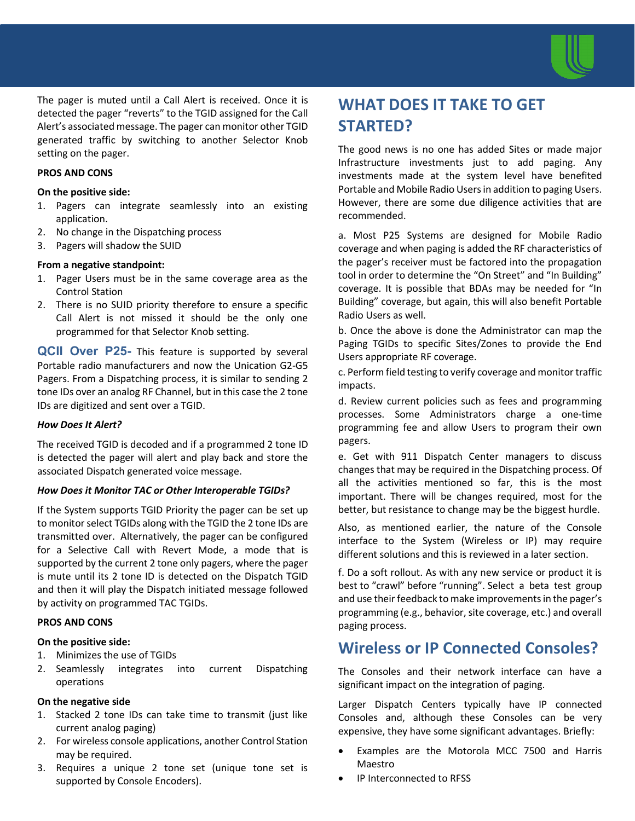

The pager is muted until a Call Alert is received. Once it is detected the pager "reverts" to the TGID assigned for the Call Alert's associated message. The pager can monitor other TGID generated traffic by switching to another Selector Knob setting on the pager.

#### **PROS AND CONS**

#### **On the positive side:**

- 1. Pagers can integrate seamlessly into an existing application.
- 2. No change in the Dispatching process
- 3. Pagers will shadow the SUID

#### **From a negative standpoint:**

- 1. Pager Users must be in the same coverage area as the Control Station
- 2. There is no SUID priority therefore to ensure a specific Call Alert is not missed it should be the only one programmed for that Selector Knob setting.

**QCII Over P25-** This feature is supported by several Portable radio manufacturers and now the Unication G2-G5 Pagers. From a Dispatching process, it is similar to sending 2 tone IDs over an analog RF Channel, but in this case the 2 tone IDs are digitized and sent over a TGID.

#### *How Does It Alert?*

The received TGID is decoded and if a programmed 2 tone ID is detected the pager will alert and play back and store the associated Dispatch generated voice message.

#### *How Does it Monitor TAC or Other Interoperable TGIDs?*

If the System supports TGID Priority the pager can be set up to monitor select TGIDs along with the TGID the 2 tone IDs are transmitted over. Alternatively, the pager can be configured for a Selective Call with Revert Mode, a mode that is supported by the current 2 tone only pagers, where the pager is mute until its 2 tone ID is detected on the Dispatch TGID and then it will play the Dispatch initiated message followed by activity on programmed TAC TGIDs.

#### **PROS AND CONS**

#### **On the positive side:**

- 1. Minimizes the use of TGIDs
- 2. Seamlessly integrates into current Dispatching operations

#### **On the negative side**

- 1. Stacked 2 tone IDs can take time to transmit (just like current analog paging)
- 2. For wireless console applications, another Control Station may be required.
- 3. Requires a unique 2 tone set (unique tone set is supported by Console Encoders).

# **WHAT DOES IT TAKE TO GET STARTED?**

The good news is no one has added Sites or made major Infrastructure investments just to add paging. Any investments made at the system level have benefited Portable and Mobile Radio Users in addition to paging Users. However, there are some due diligence activities that are recommended.

a. Most P25 Systems are designed for Mobile Radio coverage and when paging is added the RF characteristics of the pager's receiver must be factored into the propagation tool in order to determine the "On Street" and "In Building" coverage. It is possible that BDAs may be needed for "In Building" coverage, but again, this will also benefit Portable Radio Users as well.

b. Once the above is done the Administrator can map the Paging TGIDs to specific Sites/Zones to provide the End Users appropriate RF coverage.

c. Perform field testing to verify coverage and monitor traffic impacts.

d. Review current policies such as fees and programming processes. Some Administrators charge a one-time programming fee and allow Users to program their own pagers.

e. Get with 911 Dispatch Center managers to discuss changes that may be required in the Dispatching process. Of all the activities mentioned so far, this is the most important. There will be changes required, most for the better, but resistance to change may be the biggest hurdle.

Also, as mentioned earlier, the nature of the Console interface to the System (Wireless or IP) may require different solutions and this is reviewed in a later section.

f. Do a soft rollout. As with any new service or product it is best to "crawl" before "running". Select a beta test group and use their feedback to make improvements in the pager's programming (e.g., behavior, site coverage, etc.) and overall paging process.

# **Wireless or IP Connected Consoles?**

The Consoles and their network interface can have a significant impact on the integration of paging.

Larger Dispatch Centers typically have IP connected Consoles and, although these Consoles can be very expensive, they have some significant advantages. Briefly:

- Examples are the Motorola MCC 7500 and Harris **Maestro**
- IP Interconnected to RFSS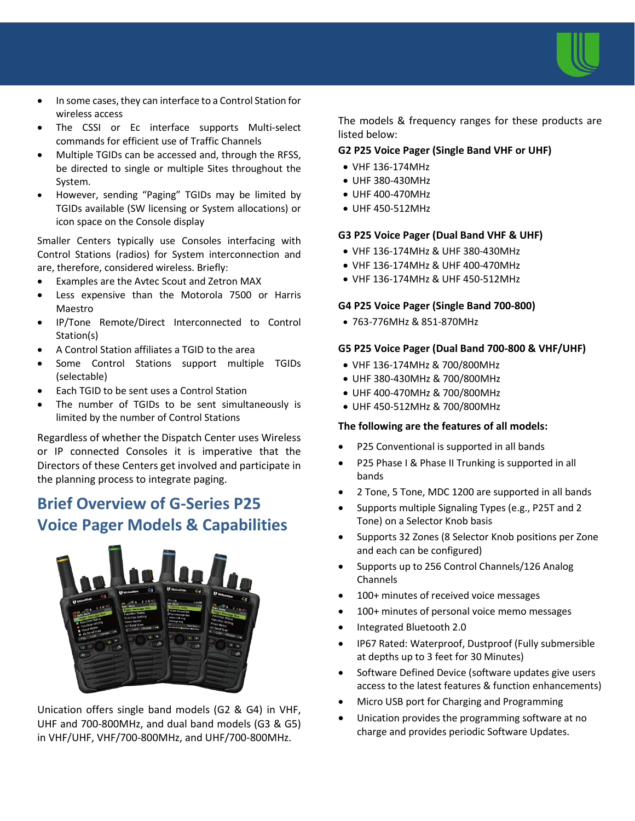

- In some cases, they can interface to a Control Station for wireless access
- The CSSI or Ec interface supports Multi-select commands for efficient use of Traffic Channels
- Multiple TGIDs can be accessed and, through the RFSS, be directed to single or multiple Sites throughout the System.
- However, sending "Paging" TGIDs may be limited by TGIDs available (SW licensing or System allocations) or icon space on the Console display

Smaller Centers typically use Consoles interfacing with Control Stations (radios) for System interconnection and are, therefore, considered wireless. Briefly:

- Examples are the Avtec Scout and Zetron MAX
- Less expensive than the Motorola 7500 or Harris Maestro
- IP/Tone Remote/Direct Interconnected to Control Station(s)
- A Control Station affiliates a TGID to the area
- Some Control Stations support multiple TGIDs (selectable)
- Each TGID to be sent uses a Control Station
- The number of TGIDs to be sent simultaneously is limited by the number of Control Stations

Regardless of whether the Dispatch Center uses Wireless or IP connected Consoles it is imperative that the Directors of these Centers get involved and participate in the planning process to integrate paging.

# **Brief Overview of G-Series P25 Voice Pager Models & Capabilities**



Unication offers single band models (G2 & G4) in VHF, UHF and 700-800MHz, and dual band models (G3 & G5) in VHF/UHF, VHF/700-800MHz, and UHF/700-800MHz.

The models & frequency ranges for these products are listed below:

#### **G2 P25 Voice Pager (Single Band VHF or UHF)**

- VHF 136-174MHz
- UHF 380-430MHz
- UHF 400-470MHz
- UHF 450-512MHz

#### **G3 P25 Voice Pager (Dual Band VHF & UHF)**

- VHF 136-174MHz & UHF 380-430MHz
- VHF 136-174MHz & UHF 400-470MHz
- VHF 136-174MHz & UHF 450-512MHz

#### **G4 P25 Voice Pager (Single Band 700-800)**

• 763-776MHz & 851-870MHz

#### **G5 P25 Voice Pager (Dual Band 700-800 & VHF/UHF)**

- VHF 136-174MHz & 700/800MHz
- UHF 380-430MHz & 700/800MHz
- UHF 400-470MHz & 700/800MHz
- UHF 450-512MHz & 700/800MHz

#### **The following are the features of all models:**

- P25 Conventional is supported in all bands
- P25 Phase I & Phase II Trunking is supported in all bands
- 2 Tone, 5 Tone, MDC 1200 are supported in all bands
- Supports multiple Signaling Types (e.g., P25T and 2 Tone) on a Selector Knob basis
- Supports 32 Zones (8 Selector Knob positions per Zone and each can be configured)
- Supports up to 256 Control Channels/126 Analog Channels
- 100+ minutes of received voice messages
- 100+ minutes of personal voice memo messages
- Integrated Bluetooth 2.0
- IP67 Rated: Waterproof, Dustproof (Fully submersible at depths up to 3 feet for 30 Minutes)
- Software Defined Device (software updates give users access to the latest features & function enhancements)
- Micro USB port for Charging and Programming
- Unication provides the programming software at no charge and provides periodic Software Updates.